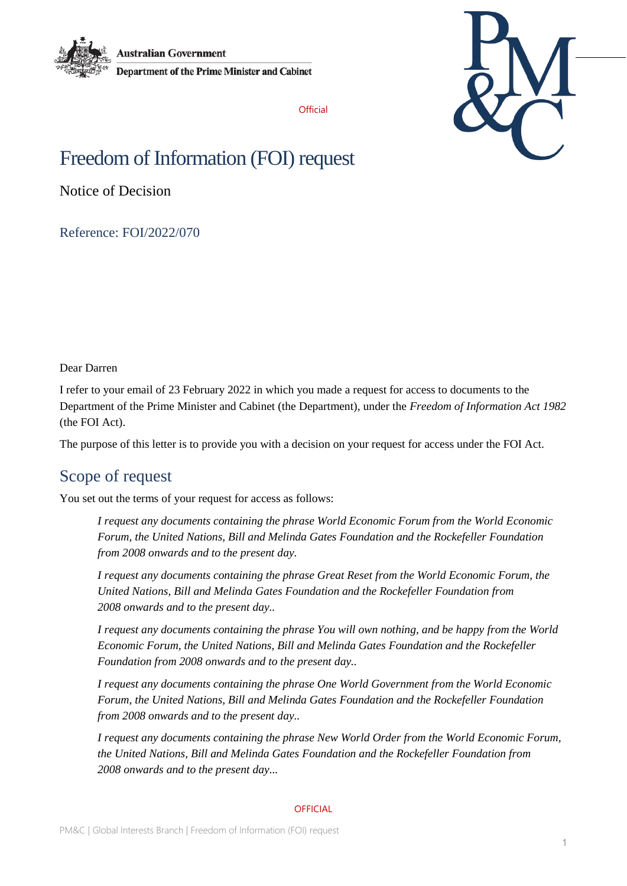

**Australian Government Department of the Prime Minister and Cabinet** 

**Official** 



# Freedom of Information (FOI) request

Notice of Decision

Reference: FOI/2022/070

Dear Darren

I refer to your email of 23 February 2022 in which you made a request for access to documents to the Department of the Prime Minister and Cabinet (the Department), under the *Freedom of Information Act 1982* (the FOI Act).

The purpose of this letter is to provide you with a decision on your request for access under the FOI Act.

# Scope of request

You set out the terms of your request for access as follows:

*I request any documents containing the phrase World Economic Forum from the World Economic Forum, the United Nations, Bill and Melinda Gates Foundation and the Rockefeller Foundation from 2008 onwards and to the present day.*

*I request any documents containing the phrase Great Reset from the World Economic Forum, the United Nations, Bill and Melinda Gates Foundation and the Rockefeller Foundation from 2008 onwards and to the present day..*

*I request any documents containing the phrase You will own nothing, and be happy from the World Economic Forum, the United Nations, Bill and Melinda Gates Foundation and the Rockefeller Foundation from 2008 onwards and to the present day..*

*I request any documents containing the phrase One World Government from the World Economic Forum, the United Nations, Bill and Melinda Gates Foundation and the Rockefeller Foundation from 2008 onwards and to the present day..*

*I request any documents containing the phrase New World Order from the World Economic Forum, the United Nations, Bill and Melinda Gates Foundation and the Rockefeller Foundation from 2008 onwards and to the present day...*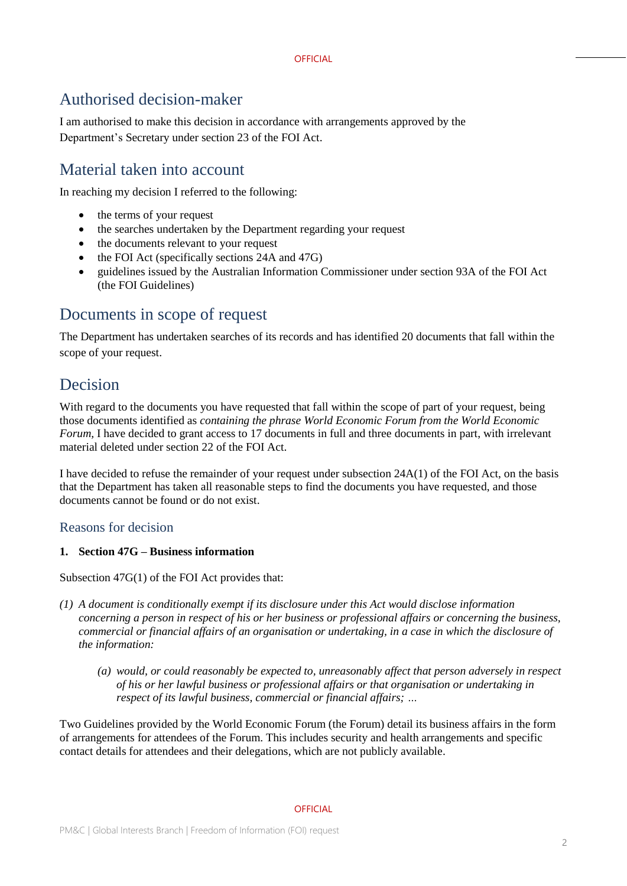# Authorised decision-maker

I am authorised to make this decision in accordance with arrangements approved by the Department's Secretary under section 23 of the FOI Act.

# Material taken into account

In reaching my decision I referred to the following:

- the terms of your request
- the searches undertaken by the Department regarding your request
- the documents relevant to your request
- the FOI Act (specifically sections 24A and 47G)
- guidelines issued by the Australian Information Commissioner under section 93A of the FOI Act (the FOI Guidelines)

# Documents in scope of request

The Department has undertaken searches of its records and has identified 20 documents that fall within the scope of your request.

# Decision

With regard to the documents you have requested that fall within the scope of part of your request, being those documents identified as *containing the phrase World Economic Forum from the World Economic Forum*, I have decided to grant access to 17 documents in full and three documents in part, with irrelevant material deleted under section 22 of the FOI Act.

I have decided to refuse the remainder of your request under subsection 24A(1) of the FOI Act, on the basis that the Department has taken all reasonable steps to find the documents you have requested, and those documents cannot be found or do not exist.

## Reasons for decision

### **1. Section 47G – Business information**

Subsection 47G(1) of the FOI Act provides that:

- *(1) A document is conditionally exempt if its disclosure under this Act would disclose information concerning a person in respect of his or her business or professional affairs or concerning the business, commercial or financial affairs of an organisation or undertaking, in a case in which the disclosure of the information:*
	- *(a) would, or could reasonably be expected to, unreasonably affect that person adversely in respect of his or her lawful business or professional affairs or that organisation or undertaking in respect of its lawful business, commercial or financial affairs; …*

Two Guidelines provided by the World Economic Forum (the Forum) detail its business affairs in the form of arrangements for attendees of the Forum. This includes security and health arrangements and specific contact details for attendees and their delegations, which are not publicly available.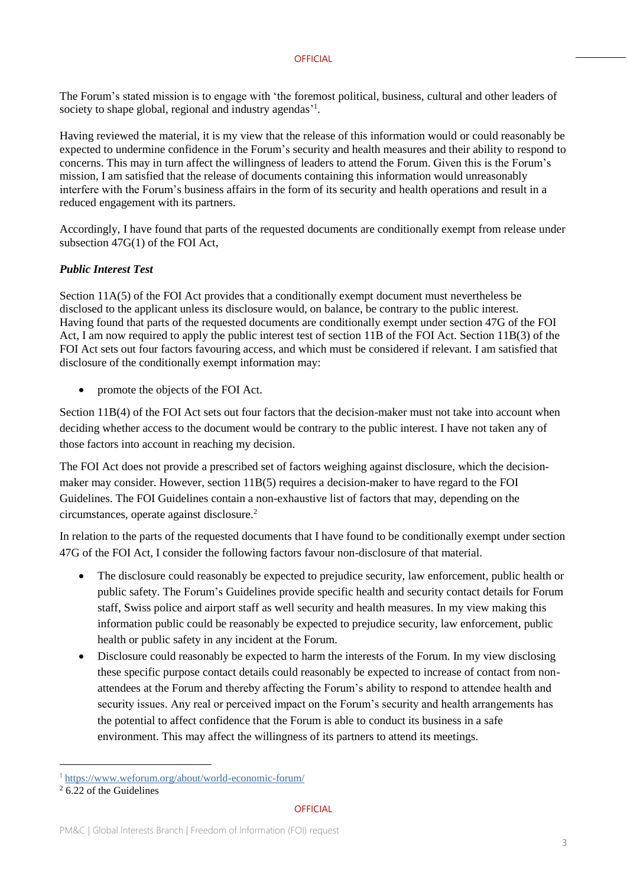#### **OFFICIAL**

The Forum's stated mission is to engage with 'the foremost political, business, cultural and other leaders of society to shape global, regional and industry agendas'<sup>1</sup>.

Having reviewed the material, it is my view that the release of this information would or could reasonably be expected to undermine confidence in the Forum's security and health measures and their ability to respond to concerns. This may in turn affect the willingness of leaders to attend the Forum. Given this is the Forum's mission, I am satisfied that the release of documents containing this information would unreasonably interfere with the Forum's business affairs in the form of its security and health operations and result in a reduced engagement with its partners.

Accordingly, I have found that parts of the requested documents are conditionally exempt from release under subsection 47G(1) of the FOI Act,

### *Public Interest Test*

Section 11A(5) of the FOI Act provides that a conditionally exempt document must nevertheless be disclosed to the applicant unless its disclosure would, on balance, be contrary to the public interest. Having found that parts of the requested documents are conditionally exempt under section 47G of the FOI Act, I am now required to apply the public interest test of section 11B of the FOI Act. Section 11B(3) of the FOI Act sets out four factors favouring access, and which must be considered if relevant. I am satisfied that disclosure of the conditionally exempt information may:

• promote the objects of the FOI Act.

Section 11B(4) of the FOI Act sets out four factors that the decision-maker must not take into account when deciding whether access to the document would be contrary to the public interest. I have not taken any of those factors into account in reaching my decision.

The FOI Act does not provide a prescribed set of factors weighing against disclosure, which the decisionmaker may consider. However, section 11B(5) requires a decision-maker to have regard to the FOI Guidelines. The FOI Guidelines contain a non-exhaustive list of factors that may, depending on the circumstances, operate against disclosure.<sup>2</sup>

In relation to the parts of the requested documents that I have found to be conditionally exempt under section 47G of the FOI Act, I consider the following factors favour non-disclosure of that material.

- The disclosure could reasonably be expected to prejudice security, law enforcement, public health or public safety. The Forum's Guidelines provide specific health and security contact details for Forum staff, Swiss police and airport staff as well security and health measures. In my view making this information public could be reasonably be expected to prejudice security, law enforcement, public health or public safety in any incident at the Forum.
- Disclosure could reasonably be expected to harm the interests of the Forum. In my view disclosing these specific purpose contact details could reasonably be expected to increase of contact from nonattendees at the Forum and thereby affecting the Forum's ability to respond to attendee health and security issues. Any real or perceived impact on the Forum's security and health arrangements has the potential to affect confidence that the Forum is able to conduct its business in a safe environment. This may affect the willingness of its partners to attend its meetings.

-

<sup>1</sup> https://www.weforum.org/about/world-economic-forum/

 $2\overline{6.22}$  of the Guidelines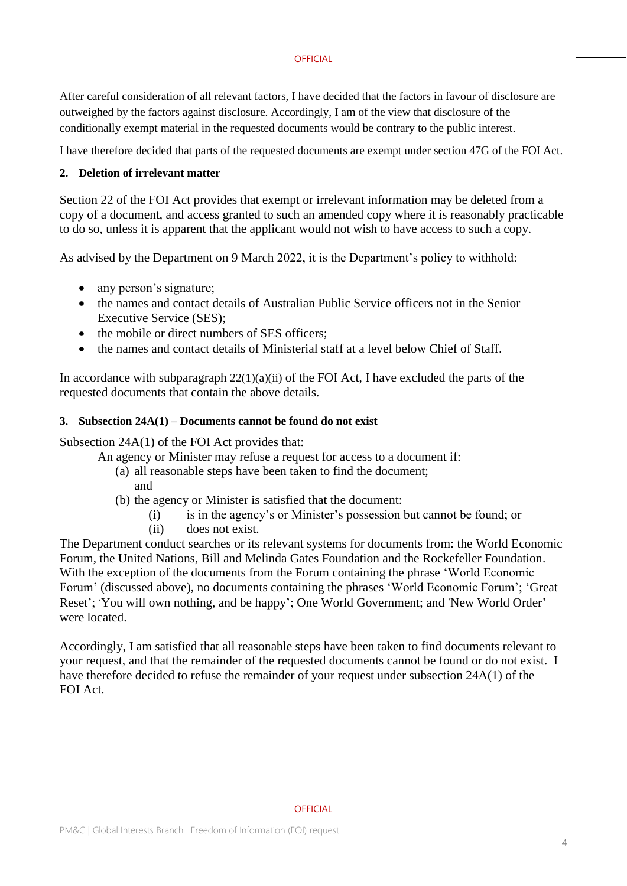#### **OFFICIAL**

After careful consideration of all relevant factors, I have decided that the factors in favour of disclosure are outweighed by the factors against disclosure. Accordingly, I am of the view that disclosure of the conditionally exempt material in the requested documents would be contrary to the public interest.

I have therefore decided that parts of the requested documents are exempt under section 47G of the FOI Act.

### **2. Deletion of irrelevant matter**

Section 22 of the FOI Act provides that exempt or irrelevant information may be deleted from a copy of a document, and access granted to such an amended copy where it is reasonably practicable to do so, unless it is apparent that the applicant would not wish to have access to such a copy.

As advised by the Department on 9 March 2022, it is the Department's policy to withhold:

- any person's signature;
- the names and contact details of Australian Public Service officers not in the Senior Executive Service (SES);
- the mobile or direct numbers of SES officers:
- the names and contact details of Ministerial staff at a level below Chief of Staff.

In accordance with subparagraph  $22(1)(a)(ii)$  of the FOI Act, I have excluded the parts of the requested documents that contain the above details.

### **3. Subsection 24A(1) – Documents cannot be found do not exist**

Subsection 24A(1) of the FOI Act provides that:

- An agency or Minister may refuse a request for access to a document if:
	- (a) all reasonable steps have been taken to find the document;
		- and
	- (b) the agency or Minister is satisfied that the document:
		- (i) is in the agency's or Minister's possession but cannot be found; or
		- (ii) does not exist.

The Department conduct searches or its relevant systems for documents from: the World Economic Forum, the United Nations, Bill and Melinda Gates Foundation and the Rockefeller Foundation. With the exception of the documents from the Forum containing the phrase 'World Economic Forum' (discussed above), no documents containing the phrases 'World Economic Forum'; 'Great Reset'; 'You will own nothing, and be happy'; One World Government; and 'New World Order' were located.

Accordingly, I am satisfied that all reasonable steps have been taken to find documents relevant to your request, and that the remainder of the requested documents cannot be found or do not exist. I have therefore decided to refuse the remainder of your request under subsection 24A(1) of the FOI Act.